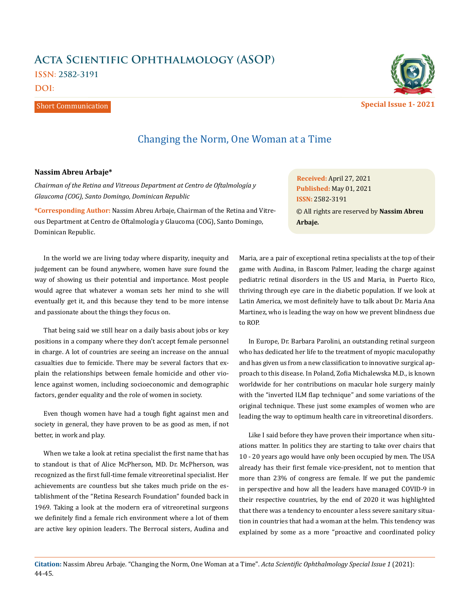## **Acta Scientific Ophthalmology (ASOP) ISSN: 2582-3191**

**DOI:** 

## Short Communication



Changing the Norm, One Woman at a Time

## **Nassim Abreu Arbaje\***

*Chairman of the Retina and Vitreous Department at Centro de Oftalmología y Glaucoma (COG), Santo Domingo, Dominican Republic* 

**\*Corresponding Author:** Nassim Abreu Arbaje, Chairman of the Retina and Vitreous Department at Centro de Oftalmología y Glaucoma (COG), Santo Domingo, Dominican Republic.

In the world we are living today where disparity, inequity and judgement can be found anywhere, women have sure found the way of showing us their potential and importance. Most people would agree that whatever a woman sets her mind to she will eventually get it, and this because they tend to be more intense and passionate about the things they focus on.

That being said we still hear on a daily basis about jobs or key positions in a company where they don't accept female personnel in charge. A lot of countries are seeing an increase on the annual casualties due to femicide. There may be several factors that explain the relationships between female homicide and other violence against women, including socioeconomic and demographic factors, gender equality and the role of women in society.

Even though women have had a tough fight against men and society in general, they have proven to be as good as men, if not better, in work and play.

When we take a look at retina specialist the first name that has to standout is that of Alice McPherson, MD. Dr. McPherson, was recognized as the first full-time female vitreoretinal specialist. Her achievements are countless but she takes much pride on the establishment of the "Retina Research Foundation" founded back in 1969. Taking a look at the modern era of vitreoretinal surgeons we definitely find a female rich environment where a lot of them are active key opinion leaders. The Berrocal sisters, Audina and

**Received:** April 27, 2021 **Published:** May 01, 2021 © All rights are reserved by **Nassim Abreu Arbaje***.* **ISSN:** 2582-3191

Maria, are a pair of exceptional retina specialists at the top of their game with Audina, in Bascom Palmer, leading the charge against pediatric retinal disorders in the US and Maria, in Puerto Rico, thriving through eye care in the diabetic population. If we look at Latin America, we most definitely have to talk about Dr. Maria Ana Martinez, who is leading the way on how we prevent blindness due to ROP.

In Europe, Dr. Barbara Parolini, an outstanding retinal surgeon who has dedicated her life to the treatment of myopic maculopathy and has given us from a new classification to innovative surgical approach to this disease. In Poland, Zofia Michalewska M.D., is known worldwide for her contributions on macular hole surgery mainly with the "inverted ILM flap technique" and some variations of the original technique. These just some examples of women who are leading the way to optimum health care in vitreoretinal disorders.

Like I said before they have proven their importance when situations matter. In politics they are starting to take over chairs that 10 - 20 years ago would have only been occupied by men. The USA already has their first female vice-president, not to mention that more than 23% of congress are female. If we put the pandemic in perspective and how all the leaders have managed COVID-9 in their respective countries, by the end of 2020 it was highlighted that there was a tendency to encounter a less severe sanitary situation in countries that had a woman at the helm. This tendency was explained by some as a more "proactive and coordinated policy

**Citation:** Nassim Abreu Arbaje*.* "Changing the Norm, One Woman at a Time". *Acta Scientific Ophthalmology Special Issue 1* (2021): 44-45.